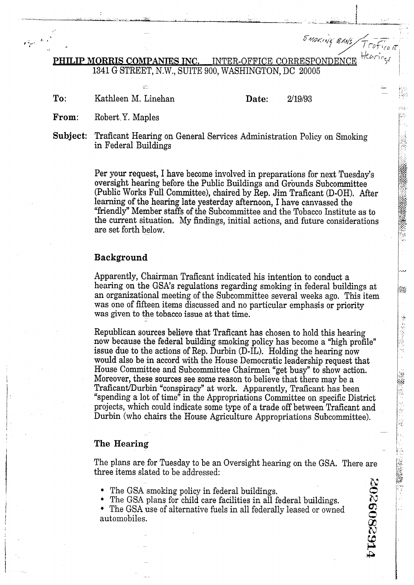E *Aldering BANS*<br>PHILIP MORRIS COMPANIES INC. INTER-OFFICE CORRESPONDENCE 1341 G STREET, N.W., SUITE 900, WASHINGTON, DC 20005 --,<br>=

**To:** Kathleen **M.** Linehan

**Date:** 2/19/93

<sup>I</sup>... t I

جؤرة ψĶ,

**.--,A-** 

開報

清本 的复数水气

i<br>H

"第一次"

ķ. Ý

-1 - **r-**

**F\$;** 

i" **PJ** <sup>I</sup>

**1V** 

**From:** Robert,Y. Maples

Subject: Traficant Hearing on General Services Administration Policy on Smoking in Federal Buildings

Per your request, I have become involved in preparations for next Tuesday's oversight hearing before the Public Buildings and Grounds Subcommittee (Public Works Full Committee), chaired by Rep. Jim Traficant (D-OH). After learning of the hearing late yesterday afternoon, I have canvassed the "friendly" Member staffs of the Subcommittee and the Tobacco Institute as to the current situation. My findings, initial actions, and future considerations are set forth below.

### **Background**

Apparently, Chairman Traficant indicated his intention to conduct a hearing on the GSA's regulations regarding smoking in federal buildings at an organizational meeting of the Subcommittee several weeks ago. This item was one of fifteen items discussed and no particular emphasis or priority was given to the tobacco issue at that time.

Republican sources believe that Traficant has chosen to hold this hearing now because the federal building smoking policy has become a "high profile" issue due to the actions of Rep. Durbin (D-IL). Holding the hearing now would also be in accord with the House Democratic leadership request that House Committee and Subcommittee Chairmen "get busy" to show action. Moreover, these sources see some reason to believe that there may be a Traficant/Durbin "conspiracy" at work. Apparently, Traficant has been "spending a lot of time" in the Appropriations Committee on specific District projects, which could indicate some type of a trade off between Traficant and Durbin (who chairs the House Agriculture Appropriations Subcommittee).

#### **The Hearing**

-

The plans are for Tuesday to be an Oversight hearing on the GSA. There are three items slated to be addressed:

**u** - **Ca** 

 $c$  -cP  $c$  -cP  $c$  -cP  $c$  -cP  $c$  -cP  $c$  -cP  $c$  -cP  $c$  -cP  $c$  -cP  $c$  -cP  $c$  -cP  $c$  -cP  $c$  -cP  $c$  -cP  $c$  -cP  $c$  -cP  $c$  -cP  $c$  -cP  $c$  -cP  $c$  -cP  $c$  -cP  $c$  -cP  $c$  -cP  $c$  -cP  $c$  -cP  $c$  -cP  $c$  -cP  $c$  -

- $\bullet$ The GSA smoking policy in federal buildings.
- The GSA plans for child care facilities in all federal buildings.

• The GSA use of alternative fuels in all federally leased or owned automobiles. automobiles.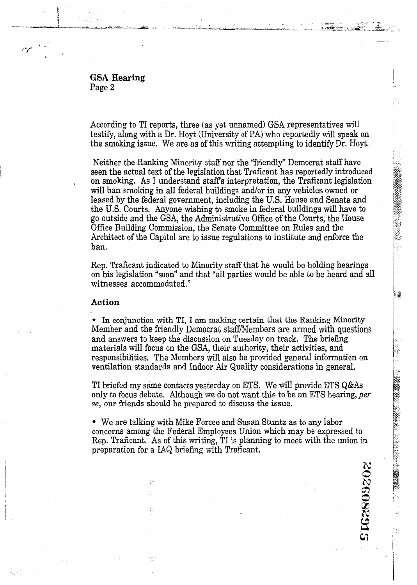GSA **Hearing**  Page **2** 

According to TI reports, three (as yet unnamed) GSA representatives will testify, along with a Dr. Hoyt (University of PA) who reportedly will speak on the smoking issue. We are as of this writing attempting to identify Dr. Hoyt.

Neither the Ranking Minority staff nor the "friendly" Democrat staff have<br>seen the actual text of the legislation that Traficant has reportedly introduced<br>on smoking. As I understand staff's interpretation, the Traficant l seen the actual text of the legislation that Traficant has reportedly introduced on smoking. As I understand staffs interpretation, the Traficant legislation will ban smoking in all federal buildings and/or in any vehicles owned or leased by the federal government, including the U.S. House and Senate and the **U.S.** Courts. Anyone wishing to smoke in federal buildings will have to y\*: go outside and the GSA, the Administrative Office of the Courts, the House *<sup>87</sup>*Office Building Commission, the Senate Committee on Rules and the Architect of the Capitol are to issue regulations to institute and enforce the ban.

Rep. Traficant indicated to Minority staff that he would be holding hearings on his legislation "soon" and that "all parties would be able to be heard and all witnesses accommodated."

# **Action**

÷.

In conjunction with TI, I am **making** certain that the Ranking Minority Member and the friendly Democrat staff/Members are armed with questions and answers to keep the discussion on Tuesday on track. The briefing materials will focus on the GSA, their authority, their activities, and responsibilities. The Members will also be provided general information on ventilation standards and Indoor Air Quality considerations in general.

TI briefed my same contacts yesterday on ETS. We will provide ETS  $Q&$ As only to focus debate. Although we do not want this to be an ETS hearing, per 11 briefed my same contacts yesterday on ETS. We will provide ETS Q&As<br>only to focus debate. Although we do not want this to be an ETS hearing, *per*<br>se, our friends should be prepared to discuss the issue.

We are **talking** with Mike Forcee and Susan Stuntz as to any labor concerns among the Federal Employees Union which may be expressed to Rep. Traficant. As of this writing, TI is planning to meet with the union in preparation for a IAQ briefing with Traficant.

3026082915

 $\frac{1}{2}$ 

**a** 

--

p4 <sup>I</sup>